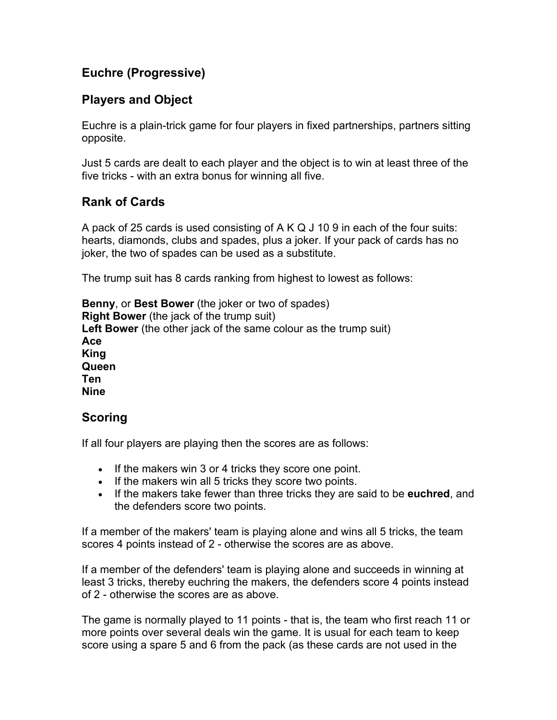# **Euchre (Progressive)**

#### **Players and Object**

Euchre is a plain-trick game for four players in fixed partnerships, partners sitting opposite.

Just 5 cards are dealt to each player and the object is to win at least three of the five tricks - with an extra bonus for winning all five.

## **Rank of Cards**

A pack of 25 cards is used consisting of A K Q J 10 9 in each of the four suits: hearts, diamonds, clubs and spades, plus a joker. If your pack of cards has no joker, the two of spades can be used as a substitute.

The trump suit has 8 cards ranking from highest to lowest as follows:

**Benny**, or **Best Bower** (the joker or two of spades) **Right Bower** (the jack of the trump suit) **Left Bower** (the other jack of the same colour as the trump suit) **Ace King Queen Ten Nine**

#### **Scoring**

If all four players are playing then the scores are as follows:

- If the makers win 3 or 4 tricks they score one point.
- If the makers win all 5 tricks they score two points.
- If the makers take fewer than three tricks they are said to be **euchred**, and the defenders score two points.

If a member of the makers' team is playing alone and wins all 5 tricks, the team scores 4 points instead of 2 - otherwise the scores are as above.

If a member of the defenders' team is playing alone and succeeds in winning at least 3 tricks, thereby euchring the makers, the defenders score 4 points instead of 2 - otherwise the scores are as above.

The game is normally played to 11 points - that is, the team who first reach 11 or more points over several deals win the game. It is usual for each team to keep score using a spare 5 and 6 from the pack (as these cards are not used in the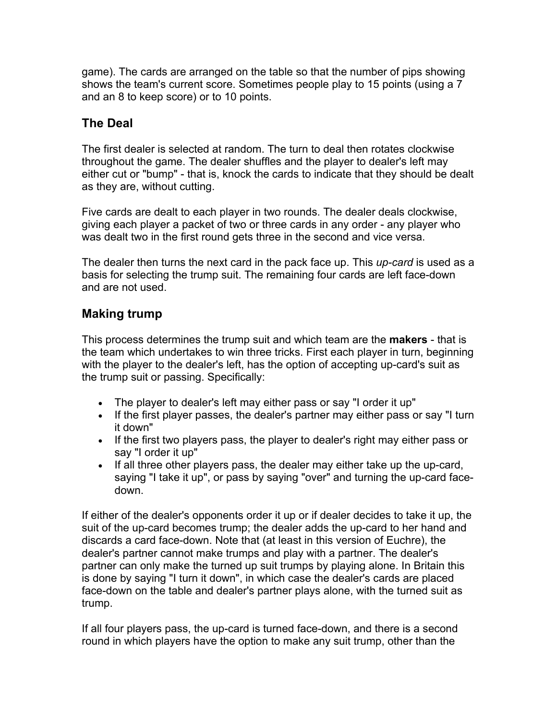game). The cards are arranged on the table so that the number of pips showing shows the team's current score. Sometimes people play to 15 points (using a 7 and an 8 to keep score) or to 10 points.

## **The Deal**

The first dealer is selected at random. The turn to deal then rotates clockwise throughout the game. The dealer shuffles and the player to dealer's left may either cut or "bump" - that is, knock the cards to indicate that they should be dealt as they are, without cutting.

Five cards are dealt to each player in two rounds. The dealer deals clockwise, giving each player a packet of two or three cards in any order - any player who was dealt two in the first round gets three in the second and vice versa.

The dealer then turns the next card in the pack face up. This *up-card* is used as a basis for selecting the trump suit. The remaining four cards are left face-down and are not used.

## **Making trump**

This process determines the trump suit and which team are the **makers** - that is the team which undertakes to win three tricks. First each player in turn, beginning with the player to the dealer's left, has the option of accepting up-card's suit as the trump suit or passing. Specifically:

- The player to dealer's left may either pass or say "I order it up"
- If the first player passes, the dealer's partner may either pass or say "I turn it down"
- If the first two players pass, the player to dealer's right may either pass or say "I order it up"
- If all three other players pass, the dealer may either take up the up-card, saying "I take it up", or pass by saying "over" and turning the up-card facedown.

If either of the dealer's opponents order it up or if dealer decides to take it up, the suit of the up-card becomes trump; the dealer adds the up-card to her hand and discards a card face-down. Note that (at least in this version of Euchre), the dealer's partner cannot make trumps and play with a partner. The dealer's partner can only make the turned up suit trumps by playing alone. In Britain this is done by saying "I turn it down", in which case the dealer's cards are placed face-down on the table and dealer's partner plays alone, with the turned suit as trump.

If all four players pass, the up-card is turned face-down, and there is a second round in which players have the option to make any suit trump, other than the